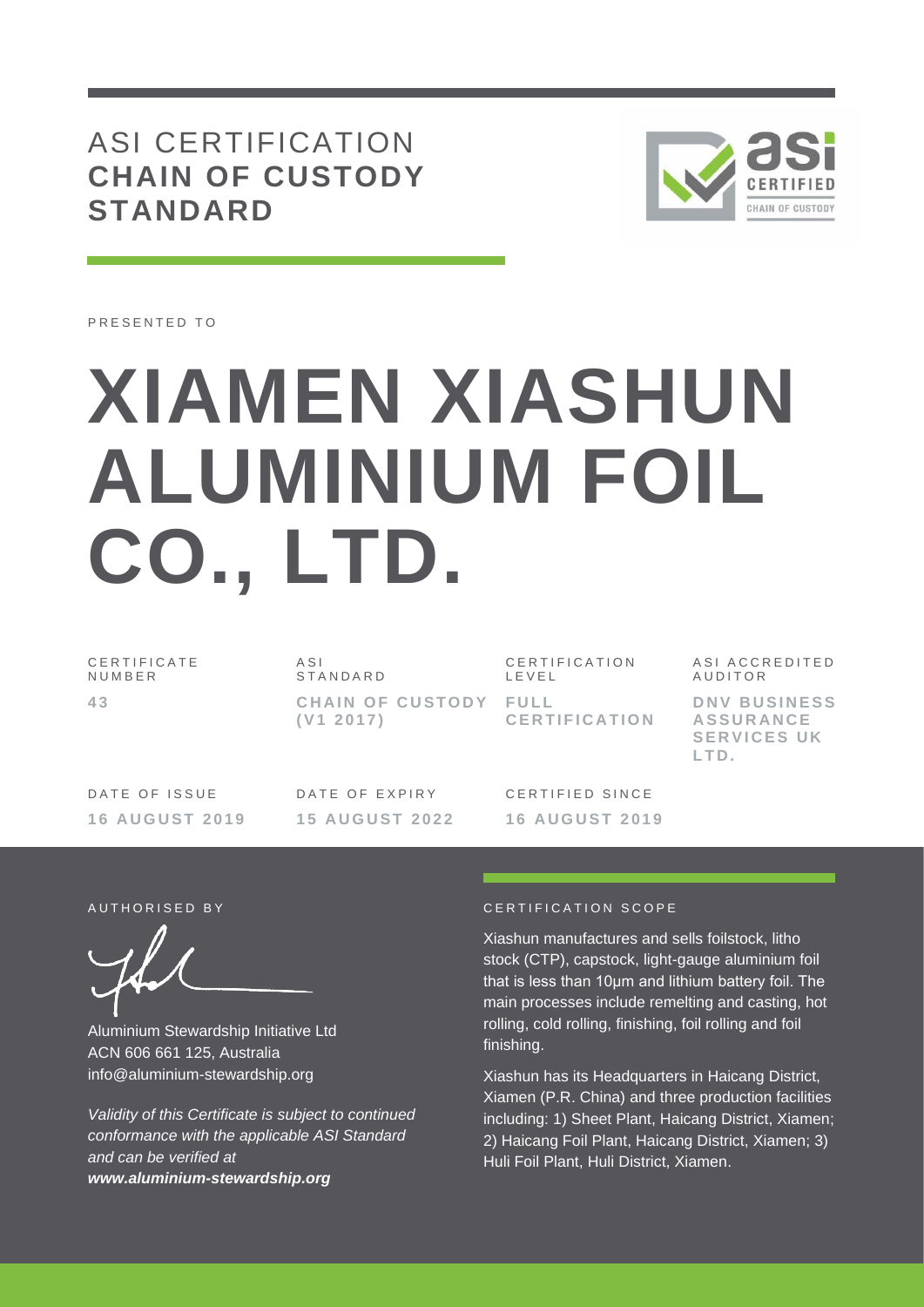## ASI CERTIFICATION **CHAIN OF CUSTODY STANDARD**



PRESENTED TO

# **XIAMEN XIASHUN ALUMINIUM FOIL CO., LTD.**

C E R T I F I C A T E N U M B E R **4 3**

 $A S I$ S T A N D A R D **CHAIN OF CUSTODY FULL ( V1 2 0 1 7 )**

CERTIFICATION L E V E L **C E R T I F I C A T I O N**

ASI ACCREDITED A U D I T O R **D N V B U S I N E S S** 

**A S S U R A N C E SERVICES UK** 

**L T D .**

DATE OF ISSUE **16 A U G U S T 2 0 1 9** DATE OF EXPIRY **15 A U G U S T 2 0 2 2**

CERTIFIED SINCE **16 A U G U S T 2 0 1 9**

Aluminium Stewardship Initiative Ltd ACN 606 661 125, Australia info@aluminium-stewardship.org

*Validity of this Certificate is subject to continued conformance with the applicable ASI Standard and can be verified at www.aluminium-stewardship.org*

#### A UT HORISED BY CERTIFICATION SCOPE

Xiashun manufactures and sells foilstock, litho stock (CTP), capstock, light-gauge aluminium foil that is less than 10μm and lithium battery foil. The main processes include remelting and casting, hot rolling, cold rolling, finishing, foil rolling and foil finishing.

Xiashun has its Headquarters in Haicang District, Xiamen (P.R. China) and three production facilities including: 1) Sheet Plant, Haicang District, Xiamen; 2) Haicang Foil Plant, Haicang District, Xiamen; 3) Huli Foil Plant, Huli District, Xiamen.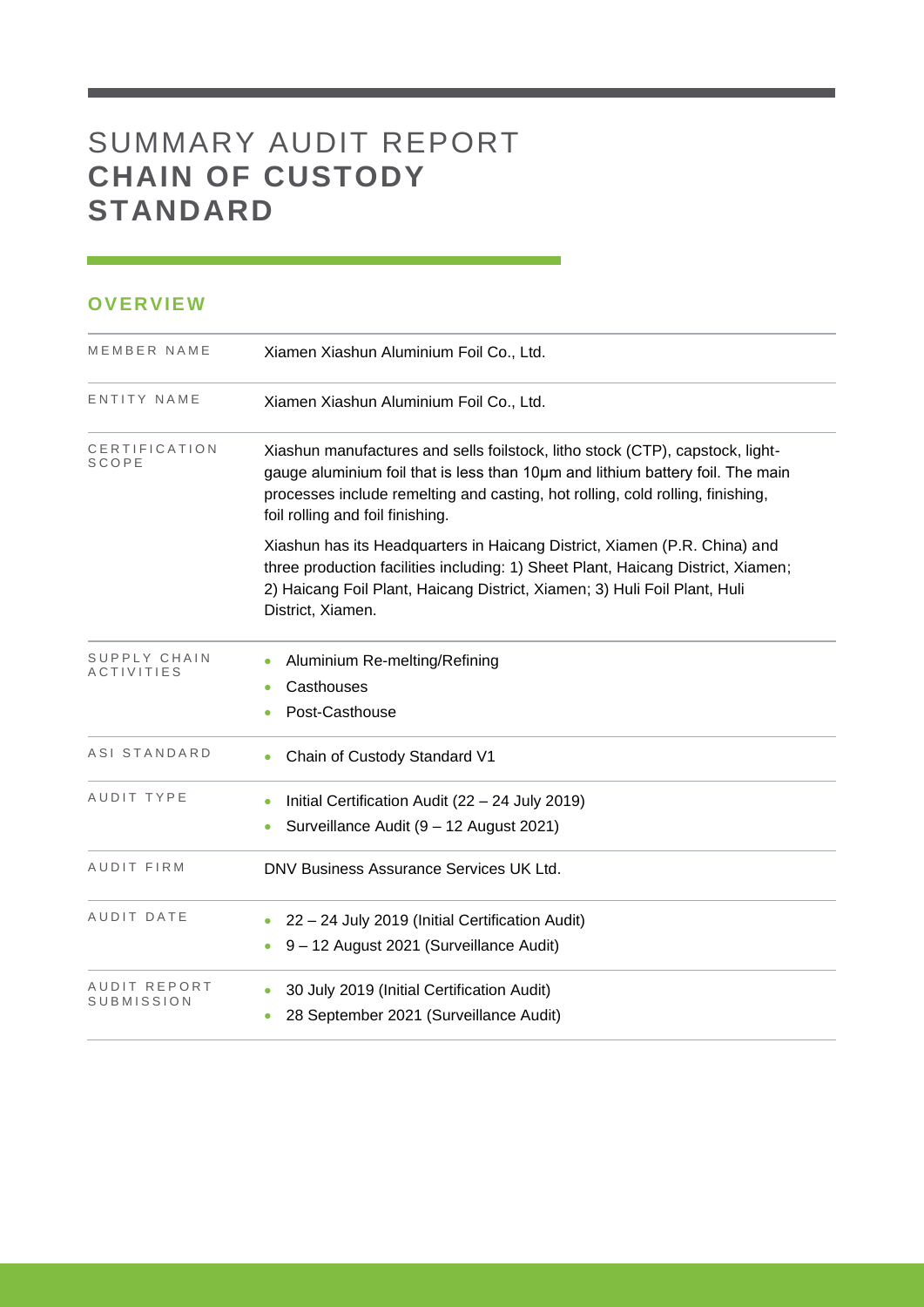# SUMMARY AUDIT REPORT **CHAIN OF CUSTODY STANDARD**

#### **OVERVIEW**

| MEMBER NAME                       | Xiamen Xiashun Aluminium Foil Co., Ltd.                                                                                                                                                                                                                                               |
|-----------------------------------|---------------------------------------------------------------------------------------------------------------------------------------------------------------------------------------------------------------------------------------------------------------------------------------|
| ENTITY NAME                       | Xiamen Xiashun Aluminium Foil Co., Ltd.                                                                                                                                                                                                                                               |
| CERTIFICATION<br>SCOPE            | Xiashun manufactures and sells foilstock, litho stock (CTP), capstock, light-<br>gauge aluminium foil that is less than 10um and lithium battery foil. The main<br>processes include remelting and casting, hot rolling, cold rolling, finishing,<br>foil rolling and foil finishing. |
|                                   | Xiashun has its Headquarters in Haicang District, Xiamen (P.R. China) and<br>three production facilities including: 1) Sheet Plant, Haicang District, Xiamen;<br>2) Haicang Foil Plant, Haicang District, Xiamen; 3) Huli Foil Plant, Huli<br>District, Xiamen.                       |
| SUPPLY CHAIN<br><b>ACTIVITIES</b> | Aluminium Re-melting/Refining<br>Casthouses<br>Post-Casthouse                                                                                                                                                                                                                         |
| ASI STANDARD                      | Chain of Custody Standard V1                                                                                                                                                                                                                                                          |
| AUDIT TYPE                        | Initial Certification Audit (22 - 24 July 2019)<br>Surveillance Audit (9 - 12 August 2021)                                                                                                                                                                                            |
| AUDIT FIRM                        | DNV Business Assurance Services UK Ltd.                                                                                                                                                                                                                                               |
| AUDIT DATE                        | 22 - 24 July 2019 (Initial Certification Audit)<br>9 - 12 August 2021 (Surveillance Audit)                                                                                                                                                                                            |
| AUDIT REPORT<br>SUBMISSION        | 30 July 2019 (Initial Certification Audit)<br>28 September 2021 (Surveillance Audit)                                                                                                                                                                                                  |

<u> 1989 - Johann Barnett, martin sa</u>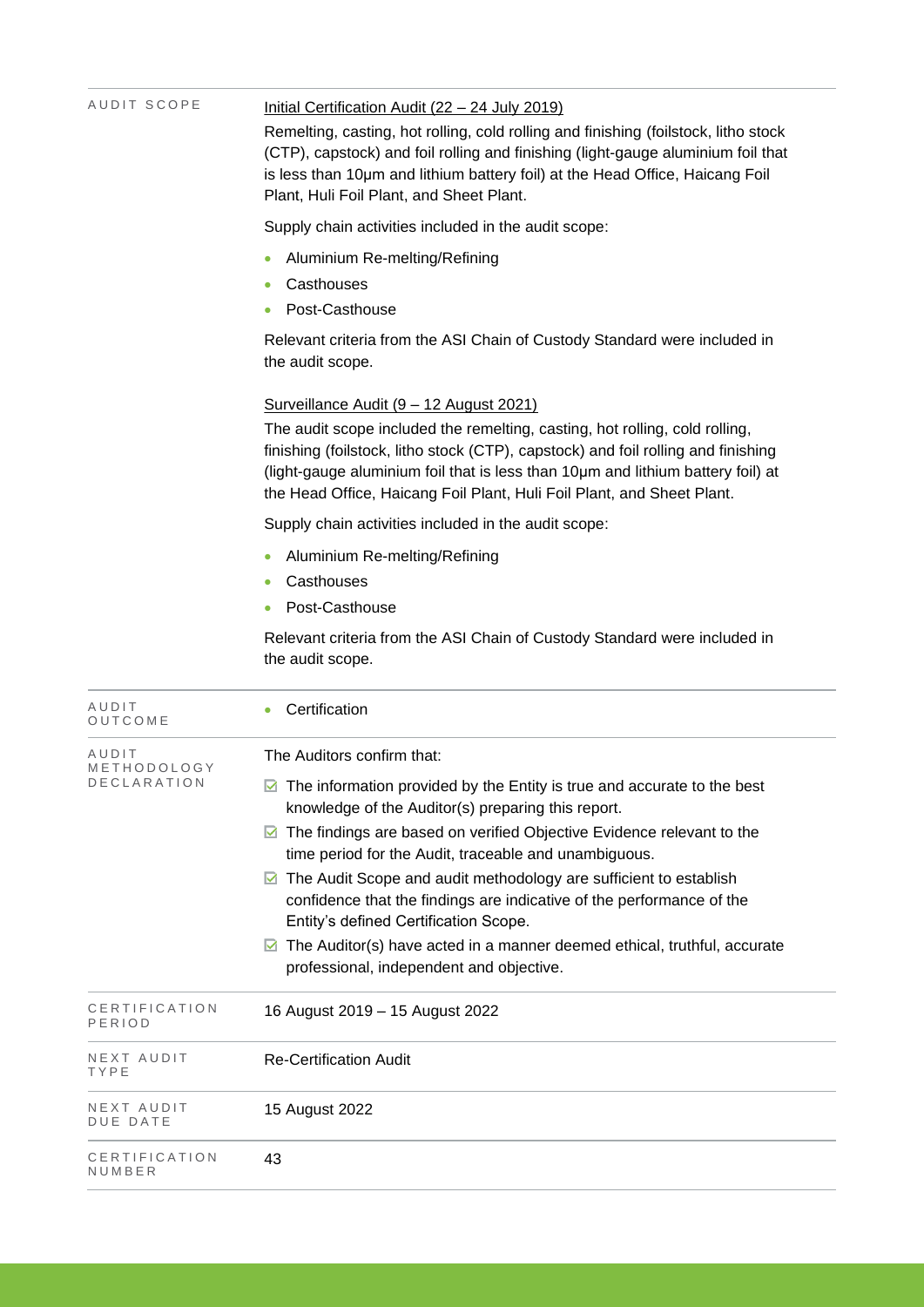| AUDIT SCOPE             | Initial Certification Audit (22 - 24 July 2019)<br>Remelting, casting, hot rolling, cold rolling and finishing (foilstock, litho stock<br>(CTP), capstock) and foil rolling and finishing (light-gauge aluminium foil that<br>is less than 10um and lithium battery foil) at the Head Office, Haicang Foil<br>Plant, Huli Foil Plant, and Sheet Plant. |  |  |  |  |
|-------------------------|--------------------------------------------------------------------------------------------------------------------------------------------------------------------------------------------------------------------------------------------------------------------------------------------------------------------------------------------------------|--|--|--|--|
|                         | Supply chain activities included in the audit scope:                                                                                                                                                                                                                                                                                                   |  |  |  |  |
|                         | Aluminium Re-melting/Refining<br>Casthouses<br>Post-Casthouse                                                                                                                                                                                                                                                                                          |  |  |  |  |
|                         | Relevant criteria from the ASI Chain of Custody Standard were included in<br>the audit scope.                                                                                                                                                                                                                                                          |  |  |  |  |
|                         | Surveillance Audit (9 - 12 August 2021)                                                                                                                                                                                                                                                                                                                |  |  |  |  |
|                         | The audit scope included the remelting, casting, hot rolling, cold rolling,<br>finishing (foilstock, litho stock (CTP), capstock) and foil rolling and finishing<br>(light-gauge aluminium foil that is less than 10um and lithium battery foil) at<br>the Head Office, Haicang Foil Plant, Huli Foil Plant, and Sheet Plant.                          |  |  |  |  |
|                         | Supply chain activities included in the audit scope:                                                                                                                                                                                                                                                                                                   |  |  |  |  |
|                         | Aluminium Re-melting/Refining                                                                                                                                                                                                                                                                                                                          |  |  |  |  |
|                         | Casthouses<br>Post-Casthouse                                                                                                                                                                                                                                                                                                                           |  |  |  |  |
|                         | Relevant criteria from the ASI Chain of Custody Standard were included in<br>the audit scope.                                                                                                                                                                                                                                                          |  |  |  |  |
| AUDIT<br>OUTCOME        | Certification                                                                                                                                                                                                                                                                                                                                          |  |  |  |  |
| AUDIT<br>METHODOLOGY    | The Auditors confirm that:                                                                                                                                                                                                                                                                                                                             |  |  |  |  |
| DECLARATION             | $\blacksquare$ The information provided by the Entity is true and accurate to the best<br>knowledge of the Auditor(s) preparing this report.                                                                                                                                                                                                           |  |  |  |  |
|                         | $\blacksquare$ The findings are based on verified Objective Evidence relevant to the<br>time period for the Audit, traceable and unambiguous.                                                                                                                                                                                                          |  |  |  |  |
|                         | $\blacksquare$ The Audit Scope and audit methodology are sufficient to establish<br>confidence that the findings are indicative of the performance of the<br>Entity's defined Certification Scope.                                                                                                                                                     |  |  |  |  |
|                         | The Auditor(s) have acted in a manner deemed ethical, truthful, accurate<br>M<br>professional, independent and objective.                                                                                                                                                                                                                              |  |  |  |  |
| CERTIFICATION<br>PERIOD | 16 August 2019 - 15 August 2022                                                                                                                                                                                                                                                                                                                        |  |  |  |  |
| NEXT AUDIT<br>TYPE      | <b>Re-Certification Audit</b>                                                                                                                                                                                                                                                                                                                          |  |  |  |  |
| NEXT AUDIT<br>DUE DATE  | 15 August 2022                                                                                                                                                                                                                                                                                                                                         |  |  |  |  |
| CERTIFICATION<br>NUMBER | 43                                                                                                                                                                                                                                                                                                                                                     |  |  |  |  |
|                         |                                                                                                                                                                                                                                                                                                                                                        |  |  |  |  |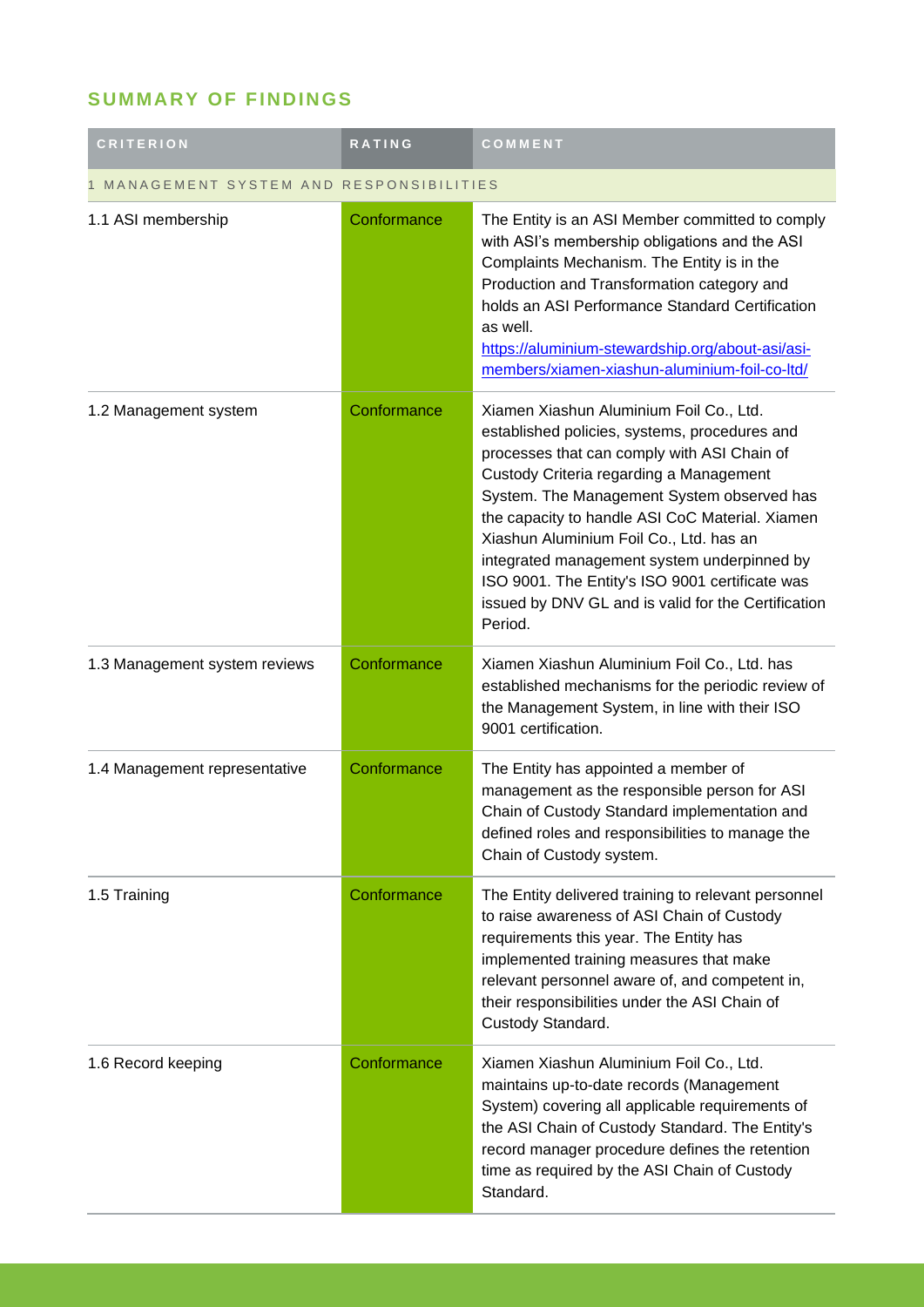## **SUMMARY OF FINDINGS**

| <b>CRITERION</b>                       | <b>RATING</b> | COMMENT                                                                                                                                                                                                                                                                                                                                                                                                                                                                                            |  |
|----------------------------------------|---------------|----------------------------------------------------------------------------------------------------------------------------------------------------------------------------------------------------------------------------------------------------------------------------------------------------------------------------------------------------------------------------------------------------------------------------------------------------------------------------------------------------|--|
| MANAGEMENT SYSTEM AND RESPONSIBILITIES |               |                                                                                                                                                                                                                                                                                                                                                                                                                                                                                                    |  |
| 1.1 ASI membership                     | Conformance   | The Entity is an ASI Member committed to comply<br>with ASI's membership obligations and the ASI<br>Complaints Mechanism. The Entity is in the<br>Production and Transformation category and<br>holds an ASI Performance Standard Certification<br>as well.<br>https://aluminium-stewardship.org/about-asi/asi-<br>members/xiamen-xiashun-aluminium-foil-co-ltd/                                                                                                                                   |  |
| 1.2 Management system                  | Conformance   | Xiamen Xiashun Aluminium Foil Co., Ltd.<br>established policies, systems, procedures and<br>processes that can comply with ASI Chain of<br>Custody Criteria regarding a Management<br>System. The Management System observed has<br>the capacity to handle ASI CoC Material. Xiamen<br>Xiashun Aluminium Foil Co., Ltd. has an<br>integrated management system underpinned by<br>ISO 9001. The Entity's ISO 9001 certificate was<br>issued by DNV GL and is valid for the Certification<br>Period. |  |
| 1.3 Management system reviews          | Conformance   | Xiamen Xiashun Aluminium Foil Co., Ltd. has<br>established mechanisms for the periodic review of<br>the Management System, in line with their ISO<br>9001 certification.                                                                                                                                                                                                                                                                                                                           |  |
| 1.4 Management representative          | Conformance   | The Entity has appointed a member of<br>management as the responsible person for ASI<br>Chain of Custody Standard implementation and<br>defined roles and responsibilities to manage the<br>Chain of Custody system.                                                                                                                                                                                                                                                                               |  |
| 1.5 Training                           | Conformance   | The Entity delivered training to relevant personnel<br>to raise awareness of ASI Chain of Custody<br>requirements this year. The Entity has<br>implemented training measures that make<br>relevant personnel aware of, and competent in,<br>their responsibilities under the ASI Chain of<br>Custody Standard.                                                                                                                                                                                     |  |
| 1.6 Record keeping                     | Conformance   | Xiamen Xiashun Aluminium Foil Co., Ltd.<br>maintains up-to-date records (Management<br>System) covering all applicable requirements of<br>the ASI Chain of Custody Standard. The Entity's<br>record manager procedure defines the retention<br>time as required by the ASI Chain of Custody<br>Standard.                                                                                                                                                                                           |  |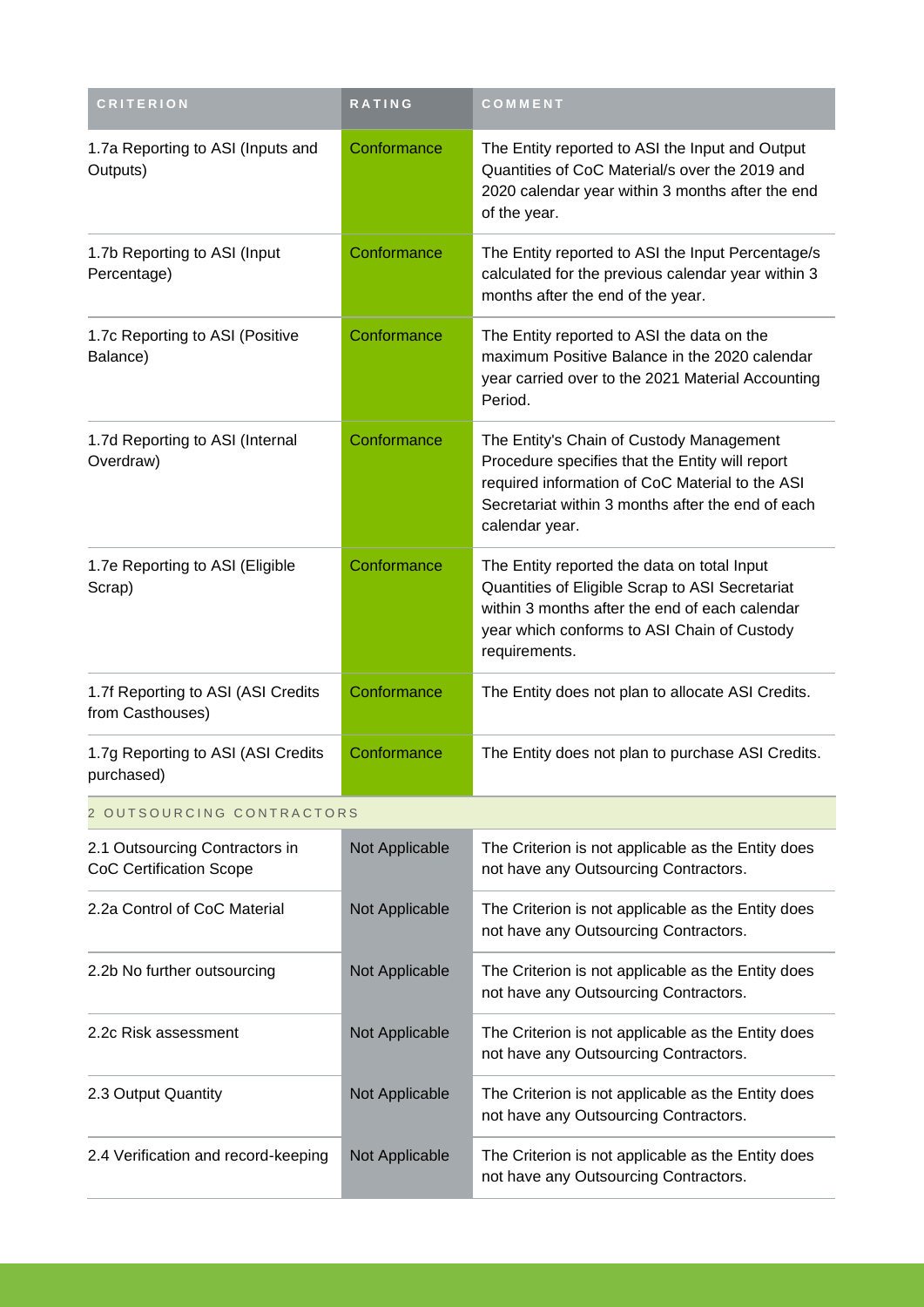| <b>CRITERION</b>                                                 | <b>RATING</b>  | COMMENT                                                                                                                                                                                                               |  |
|------------------------------------------------------------------|----------------|-----------------------------------------------------------------------------------------------------------------------------------------------------------------------------------------------------------------------|--|
| 1.7a Reporting to ASI (Inputs and<br>Outputs)                    | Conformance    | The Entity reported to ASI the Input and Output<br>Quantities of CoC Material/s over the 2019 and<br>2020 calendar year within 3 months after the end<br>of the year.                                                 |  |
| 1.7b Reporting to ASI (Input<br>Percentage)                      | Conformance    | The Entity reported to ASI the Input Percentage/s<br>calculated for the previous calendar year within 3<br>months after the end of the year.                                                                          |  |
| 1.7c Reporting to ASI (Positive<br>Balance)                      | Conformance    | The Entity reported to ASI the data on the<br>maximum Positive Balance in the 2020 calendar<br>year carried over to the 2021 Material Accounting<br>Period.                                                           |  |
| 1.7d Reporting to ASI (Internal<br>Overdraw)                     | Conformance    | The Entity's Chain of Custody Management<br>Procedure specifies that the Entity will report<br>required information of CoC Material to the ASI<br>Secretariat within 3 months after the end of each<br>calendar year. |  |
| 1.7e Reporting to ASI (Eligible<br>Scrap)                        | Conformance    | The Entity reported the data on total Input<br>Quantities of Eligible Scrap to ASI Secretariat<br>within 3 months after the end of each calendar<br>year which conforms to ASI Chain of Custody<br>requirements.      |  |
| 1.7f Reporting to ASI (ASI Credits<br>from Casthouses)           | Conformance    | The Entity does not plan to allocate ASI Credits.                                                                                                                                                                     |  |
| 1.7g Reporting to ASI (ASI Credits<br>purchased)                 | Conformance    | The Entity does not plan to purchase ASI Credits.                                                                                                                                                                     |  |
| 2 OUTSOURCING CONTRACTORS                                        |                |                                                                                                                                                                                                                       |  |
| 2.1 Outsourcing Contractors in<br><b>CoC Certification Scope</b> | Not Applicable | The Criterion is not applicable as the Entity does<br>not have any Outsourcing Contractors.                                                                                                                           |  |
| 2.2a Control of CoC Material                                     | Not Applicable | The Criterion is not applicable as the Entity does<br>not have any Outsourcing Contractors.                                                                                                                           |  |
| 2.2b No further outsourcing                                      | Not Applicable | The Criterion is not applicable as the Entity does<br>not have any Outsourcing Contractors.                                                                                                                           |  |
| 2.2c Risk assessment                                             | Not Applicable | The Criterion is not applicable as the Entity does<br>not have any Outsourcing Contractors.                                                                                                                           |  |
| 2.3 Output Quantity                                              | Not Applicable | The Criterion is not applicable as the Entity does<br>not have any Outsourcing Contractors.                                                                                                                           |  |
| 2.4 Verification and record-keeping                              | Not Applicable | The Criterion is not applicable as the Entity does<br>not have any Outsourcing Contractors.                                                                                                                           |  |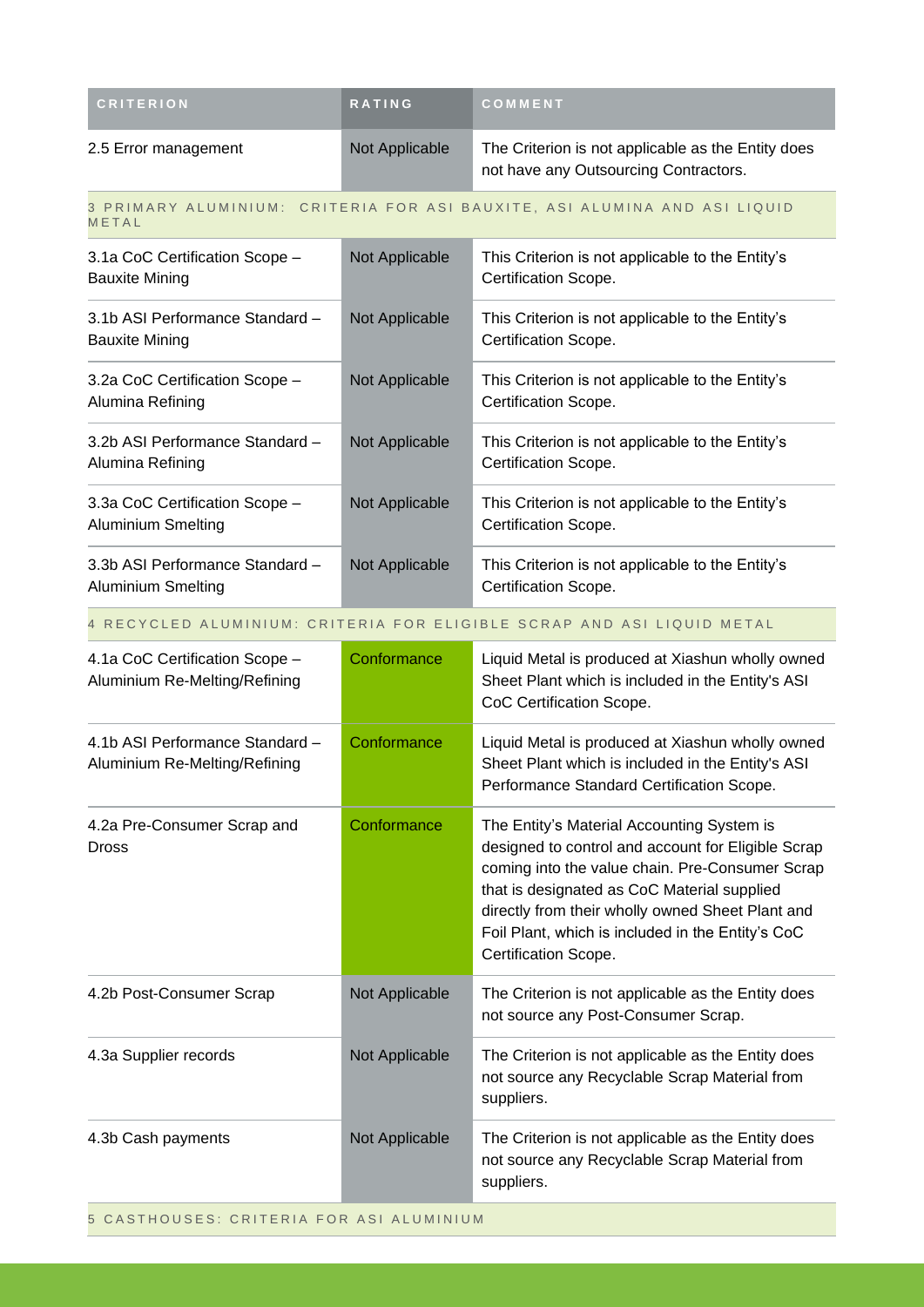| <b>CRITERION</b>                                             | <b>RATING</b>  | COMMENT                                                                                     |
|--------------------------------------------------------------|----------------|---------------------------------------------------------------------------------------------|
| 2.5 Error management                                         | Not Applicable | The Criterion is not applicable as the Entity does<br>not have any Outsourcing Contractors. |
| METAL                                                        |                | 3 PRIMARY ALUMINIUM: CRITERIA FOR ASI BAUXITE, ASI ALUMINA AND ASI LIQUID                   |
| 3.1a CoC Certification Scope -<br><b>Bauxite Mining</b>      | Not Applicable | This Criterion is not applicable to the Entity's<br>Certification Scope.                    |
| 3.1b ASI Performance Standard -<br><b>Bauxite Mining</b>     | Not Applicable | This Criterion is not applicable to the Entity's<br>Certification Scope.                    |
| 3.2a CoC Certification Scope -<br>Alumina Refining           | Not Applicable | This Criterion is not applicable to the Entity's<br>Certification Scope.                    |
| 3.2b ASI Performance Standard -<br>Alumina Refining          | Not Applicable | This Criterion is not applicable to the Entity's<br>Certification Scope.                    |
| 3.3a CoC Certification Scope -<br><b>Aluminium Smelting</b>  | Not Applicable | This Criterion is not applicable to the Entity's<br>Certification Scope.                    |
| 3.3b ASI Performance Standard -<br><b>Aluminium Smelting</b> | Not Applicable | This Criterion is not applicable to the Entity's<br>Certification Scope.                    |

### 4 RECYCLED ALUMINIUM: CRITERIA FOR ELIGIBLE SCRAP AND ASI LIQUID METAL

| 4.1a CoC Certification Scope -<br>Aluminium Re-Melting/Refining  | Conformance    | Liquid Metal is produced at Xiashun wholly owned<br>Sheet Plant which is included in the Entity's ASI<br>CoC Certification Scope.                                                                                                                                                                                                   |
|------------------------------------------------------------------|----------------|-------------------------------------------------------------------------------------------------------------------------------------------------------------------------------------------------------------------------------------------------------------------------------------------------------------------------------------|
| 4.1b ASI Performance Standard -<br>Aluminium Re-Melting/Refining | Conformance    | Liquid Metal is produced at Xiashun wholly owned<br>Sheet Plant which is included in the Entity's ASI<br>Performance Standard Certification Scope.                                                                                                                                                                                  |
| 4.2a Pre-Consumer Scrap and<br><b>Dross</b>                      | Conformance    | The Entity's Material Accounting System is<br>designed to control and account for Eligible Scrap<br>coming into the value chain. Pre-Consumer Scrap<br>that is designated as CoC Material supplied<br>directly from their wholly owned Sheet Plant and<br>Foil Plant, which is included in the Entity's CoC<br>Certification Scope. |
| 4.2b Post-Consumer Scrap                                         | Not Applicable | The Criterion is not applicable as the Entity does<br>not source any Post-Consumer Scrap.                                                                                                                                                                                                                                           |
| 4.3a Supplier records                                            | Not Applicable | The Criterion is not applicable as the Entity does<br>not source any Recyclable Scrap Material from<br>suppliers.                                                                                                                                                                                                                   |
| 4.3b Cash payments                                               | Not Applicable | The Criterion is not applicable as the Entity does<br>not source any Recyclable Scrap Material from<br>suppliers.                                                                                                                                                                                                                   |

5 CASTHOUSES: CRITERIA FOR ASI ALUMINIUM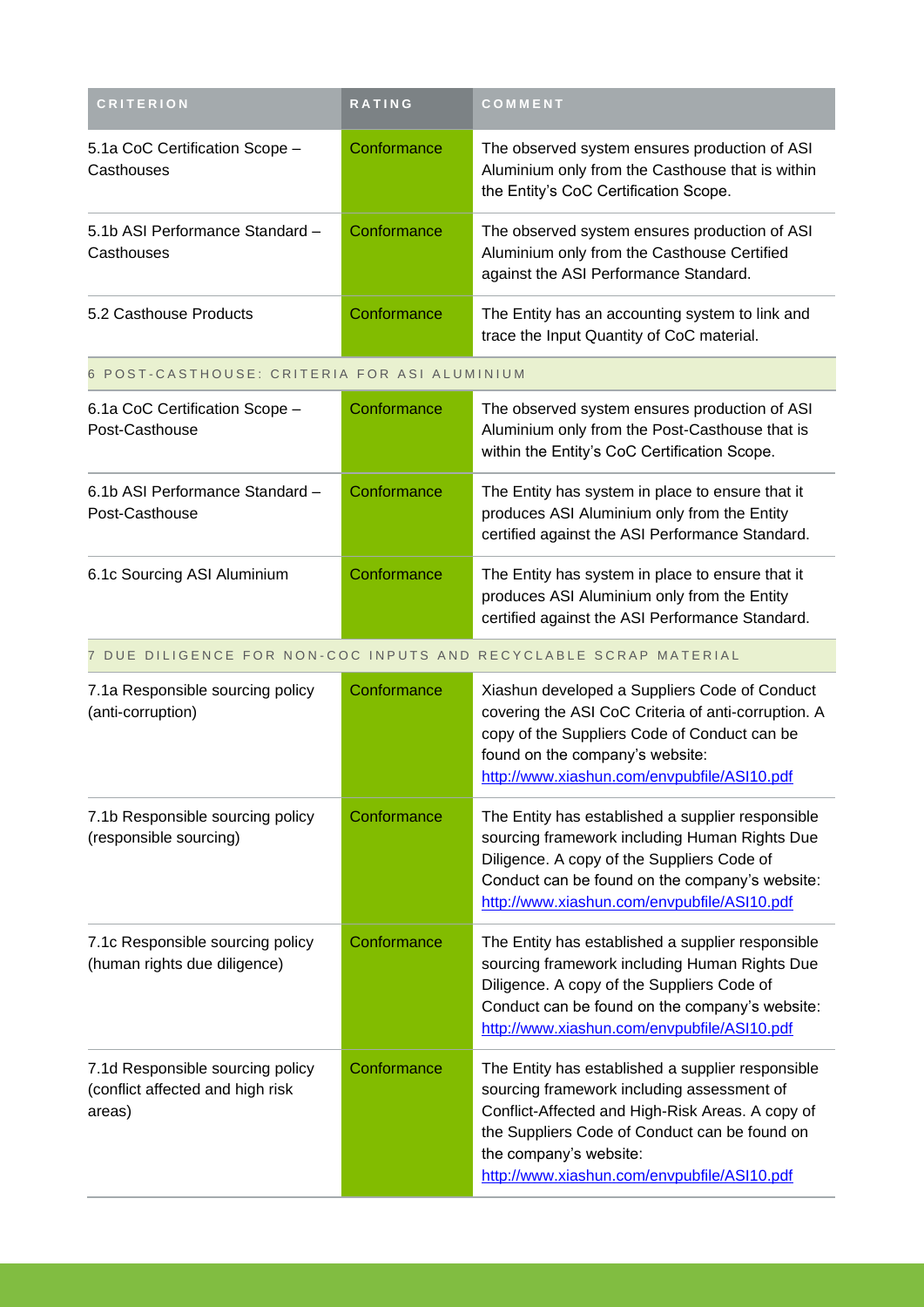| <b>CRITERION</b>                                                               | RATING      | COMMENT                                                                                                                                                                                                                                                                       |
|--------------------------------------------------------------------------------|-------------|-------------------------------------------------------------------------------------------------------------------------------------------------------------------------------------------------------------------------------------------------------------------------------|
| 5.1a CoC Certification Scope -<br>Casthouses                                   | Conformance | The observed system ensures production of ASI<br>Aluminium only from the Casthouse that is within<br>the Entity's CoC Certification Scope.                                                                                                                                    |
| 5.1b ASI Performance Standard -<br>Casthouses                                  | Conformance | The observed system ensures production of ASI<br>Aluminium only from the Casthouse Certified<br>against the ASI Performance Standard.                                                                                                                                         |
| 5.2 Casthouse Products                                                         | Conformance | The Entity has an accounting system to link and<br>trace the Input Quantity of CoC material.                                                                                                                                                                                  |
| 6 POST-CASTHOUSE: CRITERIA FOR ASI ALUMINIUM                                   |             |                                                                                                                                                                                                                                                                               |
| 6.1a CoC Certification Scope -<br>Post-Casthouse                               | Conformance | The observed system ensures production of ASI<br>Aluminium only from the Post-Casthouse that is<br>within the Entity's CoC Certification Scope.                                                                                                                               |
| 6.1b ASI Performance Standard -<br>Post-Casthouse                              | Conformance | The Entity has system in place to ensure that it<br>produces ASI Aluminium only from the Entity<br>certified against the ASI Performance Standard.                                                                                                                            |
| 6.1c Sourcing ASI Aluminium                                                    | Conformance | The Entity has system in place to ensure that it<br>produces ASI Aluminium only from the Entity<br>certified against the ASI Performance Standard.                                                                                                                            |
|                                                                                |             | 7 DUE DILIGENCE FOR NON-COC INPUTS AND RECYCLABLE SCRAP MATERIAL                                                                                                                                                                                                              |
| 7.1a Responsible sourcing policy<br>(anti-corruption)                          | Conformance | Xiashun developed a Suppliers Code of Conduct<br>covering the ASI CoC Criteria of anti-corruption. A<br>copy of the Suppliers Code of Conduct can be<br>found on the company's website:<br>http://www.xiashun.com/envpubfile/ASI10.pdf                                        |
| 7.1b Responsible sourcing policy<br>(responsible sourcing)                     | Conformance | The Entity has established a supplier responsible<br>sourcing framework including Human Rights Due<br>Diligence. A copy of the Suppliers Code of<br>Conduct can be found on the company's website:<br>http://www.xiashun.com/envpubfile/ASI10.pdf                             |
| 7.1c Responsible sourcing policy<br>(human rights due diligence)               | Conformance | The Entity has established a supplier responsible<br>sourcing framework including Human Rights Due<br>Diligence. A copy of the Suppliers Code of<br>Conduct can be found on the company's website:<br>http://www.xiashun.com/envpubfile/ASI10.pdf                             |
| 7.1d Responsible sourcing policy<br>(conflict affected and high risk<br>areas) | Conformance | The Entity has established a supplier responsible<br>sourcing framework including assessment of<br>Conflict-Affected and High-Risk Areas. A copy of<br>the Suppliers Code of Conduct can be found on<br>the company's website:<br>http://www.xiashun.com/envpubfile/ASI10.pdf |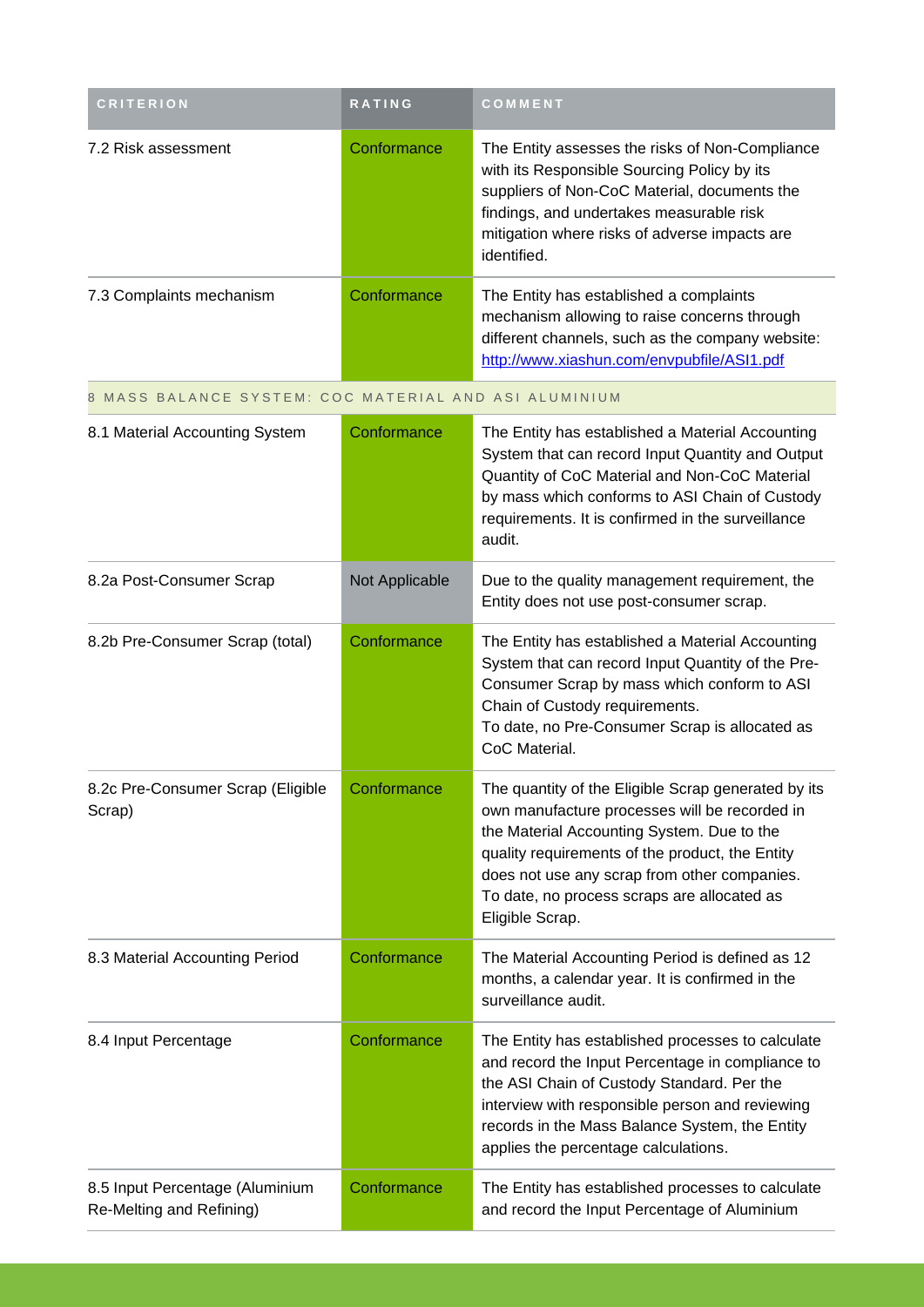| <b>CRITERION</b>                                            | RATING         | COMMENT                                                                                                                                                                                                                                                                                                                 |
|-------------------------------------------------------------|----------------|-------------------------------------------------------------------------------------------------------------------------------------------------------------------------------------------------------------------------------------------------------------------------------------------------------------------------|
| 7.2 Risk assessment                                         | Conformance    | The Entity assesses the risks of Non-Compliance<br>with its Responsible Sourcing Policy by its<br>suppliers of Non-CoC Material, documents the<br>findings, and undertakes measurable risk<br>mitigation where risks of adverse impacts are<br>identified.                                                              |
| 7.3 Complaints mechanism                                    | Conformance    | The Entity has established a complaints<br>mechanism allowing to raise concerns through<br>different channels, such as the company website:<br>http://www.xiashun.com/envpubfile/ASI1.pdf                                                                                                                               |
| 8 MASS BALANCE SYSTEM: COC MATERIAL AND ASI ALUMINIUM       |                |                                                                                                                                                                                                                                                                                                                         |
| 8.1 Material Accounting System                              | Conformance    | The Entity has established a Material Accounting<br>System that can record Input Quantity and Output<br>Quantity of CoC Material and Non-CoC Material<br>by mass which conforms to ASI Chain of Custody<br>requirements. It is confirmed in the surveillance<br>audit.                                                  |
| 8.2a Post-Consumer Scrap                                    | Not Applicable | Due to the quality management requirement, the<br>Entity does not use post-consumer scrap.                                                                                                                                                                                                                              |
| 8.2b Pre-Consumer Scrap (total)                             | Conformance    | The Entity has established a Material Accounting<br>System that can record Input Quantity of the Pre-<br>Consumer Scrap by mass which conform to ASI<br>Chain of Custody requirements.<br>To date, no Pre-Consumer Scrap is allocated as<br>CoC Material.                                                               |
| 8.2c Pre-Consumer Scrap (Eligible<br>Scrap)                 | Conformance    | The quantity of the Eligible Scrap generated by its<br>own manufacture processes will be recorded in<br>the Material Accounting System. Due to the<br>quality requirements of the product, the Entity<br>does not use any scrap from other companies.<br>To date, no process scraps are allocated as<br>Eligible Scrap. |
| 8.3 Material Accounting Period                              | Conformance    | The Material Accounting Period is defined as 12<br>months, a calendar year. It is confirmed in the<br>surveillance audit.                                                                                                                                                                                               |
| 8.4 Input Percentage                                        | Conformance    | The Entity has established processes to calculate<br>and record the Input Percentage in compliance to<br>the ASI Chain of Custody Standard. Per the<br>interview with responsible person and reviewing<br>records in the Mass Balance System, the Entity<br>applies the percentage calculations.                        |
| 8.5 Input Percentage (Aluminium<br>Re-Melting and Refining) | Conformance    | The Entity has established processes to calculate<br>and record the Input Percentage of Aluminium                                                                                                                                                                                                                       |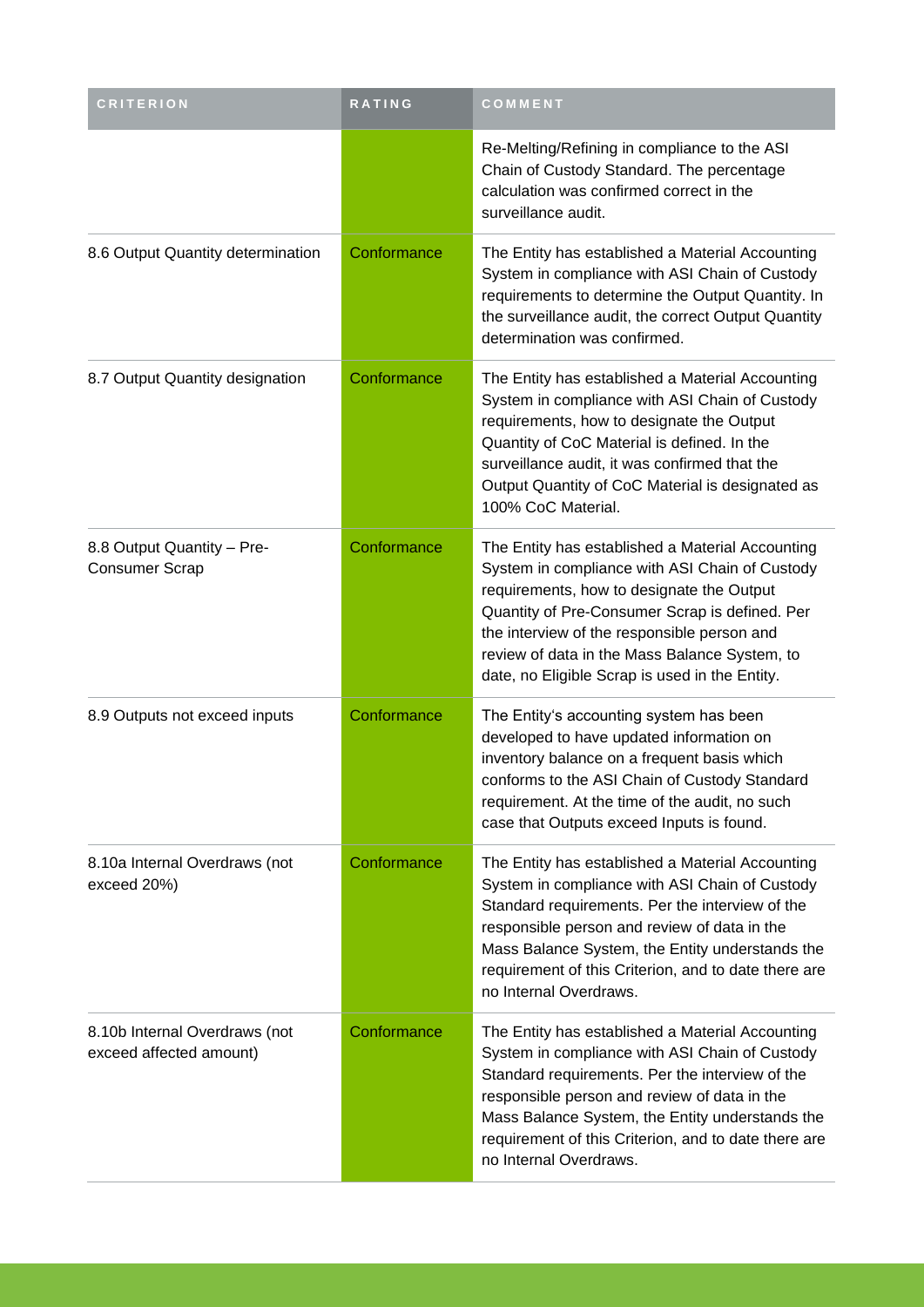| <b>CRITERION</b>                                         | RATING      | COMMENT                                                                                                                                                                                                                                                                                                                                             |
|----------------------------------------------------------|-------------|-----------------------------------------------------------------------------------------------------------------------------------------------------------------------------------------------------------------------------------------------------------------------------------------------------------------------------------------------------|
|                                                          |             | Re-Melting/Refining in compliance to the ASI<br>Chain of Custody Standard. The percentage<br>calculation was confirmed correct in the<br>surveillance audit.                                                                                                                                                                                        |
| 8.6 Output Quantity determination                        | Conformance | The Entity has established a Material Accounting<br>System in compliance with ASI Chain of Custody<br>requirements to determine the Output Quantity. In<br>the surveillance audit, the correct Output Quantity<br>determination was confirmed.                                                                                                      |
| 8.7 Output Quantity designation                          | Conformance | The Entity has established a Material Accounting<br>System in compliance with ASI Chain of Custody<br>requirements, how to designate the Output<br>Quantity of CoC Material is defined. In the<br>surveillance audit, it was confirmed that the<br>Output Quantity of CoC Material is designated as<br>100% CoC Material.                           |
| 8.8 Output Quantity - Pre-<br><b>Consumer Scrap</b>      | Conformance | The Entity has established a Material Accounting<br>System in compliance with ASI Chain of Custody<br>requirements, how to designate the Output<br>Quantity of Pre-Consumer Scrap is defined. Per<br>the interview of the responsible person and<br>review of data in the Mass Balance System, to<br>date, no Eligible Scrap is used in the Entity. |
| 8.9 Outputs not exceed inputs                            | Conformance | The Entity's accounting system has been<br>developed to have updated information on<br>inventory balance on a frequent basis which<br>conforms to the ASI Chain of Custody Standard<br>requirement. At the time of the audit, no such<br>case that Outputs exceed Inputs is found.                                                                  |
| 8.10a Internal Overdraws (not<br>exceed 20%)             | Conformance | The Entity has established a Material Accounting<br>System in compliance with ASI Chain of Custody<br>Standard requirements. Per the interview of the<br>responsible person and review of data in the<br>Mass Balance System, the Entity understands the<br>requirement of this Criterion, and to date there are<br>no Internal Overdraws.          |
| 8.10b Internal Overdraws (not<br>exceed affected amount) | Conformance | The Entity has established a Material Accounting<br>System in compliance with ASI Chain of Custody<br>Standard requirements. Per the interview of the<br>responsible person and review of data in the<br>Mass Balance System, the Entity understands the<br>requirement of this Criterion, and to date there are<br>no Internal Overdraws.          |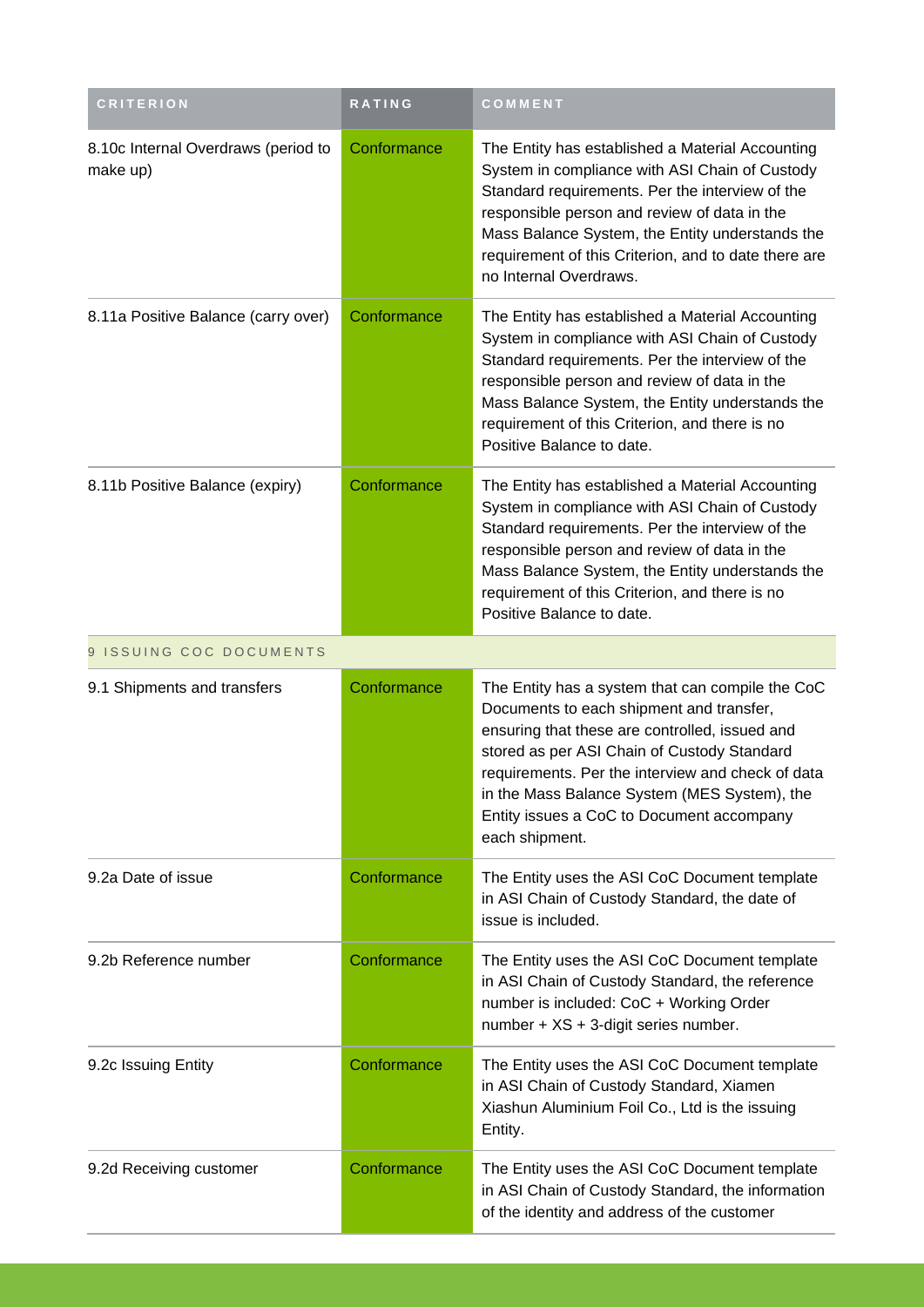| <b>CRITERION</b>                                | <b>RATING</b> | COMMENT                                                                                                                                                                                                                                                                                                                                                           |
|-------------------------------------------------|---------------|-------------------------------------------------------------------------------------------------------------------------------------------------------------------------------------------------------------------------------------------------------------------------------------------------------------------------------------------------------------------|
| 8.10c Internal Overdraws (period to<br>make up) | Conformance   | The Entity has established a Material Accounting<br>System in compliance with ASI Chain of Custody<br>Standard requirements. Per the interview of the<br>responsible person and review of data in the<br>Mass Balance System, the Entity understands the<br>requirement of this Criterion, and to date there are<br>no Internal Overdraws.                        |
| 8.11a Positive Balance (carry over)             | Conformance   | The Entity has established a Material Accounting<br>System in compliance with ASI Chain of Custody<br>Standard requirements. Per the interview of the<br>responsible person and review of data in the<br>Mass Balance System, the Entity understands the<br>requirement of this Criterion, and there is no<br>Positive Balance to date.                           |
| 8.11b Positive Balance (expiry)                 | Conformance   | The Entity has established a Material Accounting<br>System in compliance with ASI Chain of Custody<br>Standard requirements. Per the interview of the<br>responsible person and review of data in the<br>Mass Balance System, the Entity understands the<br>requirement of this Criterion, and there is no<br>Positive Balance to date.                           |
| 9 ISSUING COC DOCUMENTS                         |               |                                                                                                                                                                                                                                                                                                                                                                   |
| 9.1 Shipments and transfers                     | Conformance   | The Entity has a system that can compile the CoC<br>Documents to each shipment and transfer,<br>ensuring that these are controlled, issued and<br>stored as per ASI Chain of Custody Standard<br>requirements. Per the interview and check of data<br>in the Mass Balance System (MES System), the<br>Entity issues a CoC to Document accompany<br>each shipment. |
| 9.2a Date of issue                              | Conformance   | The Entity uses the ASI CoC Document template<br>in ASI Chain of Custody Standard, the date of<br>issue is included.                                                                                                                                                                                                                                              |
| 9.2b Reference number                           | Conformance   | The Entity uses the ASI CoC Document template<br>in ASI Chain of Custody Standard, the reference<br>number is included: CoC + Working Order<br>number + XS + 3-digit series number.                                                                                                                                                                               |
| 9.2c Issuing Entity                             | Conformance   | The Entity uses the ASI CoC Document template<br>in ASI Chain of Custody Standard, Xiamen<br>Xiashun Aluminium Foil Co., Ltd is the issuing<br>Entity.                                                                                                                                                                                                            |
| 9.2d Receiving customer                         | Conformance   | The Entity uses the ASI CoC Document template<br>in ASI Chain of Custody Standard, the information<br>of the identity and address of the customer                                                                                                                                                                                                                 |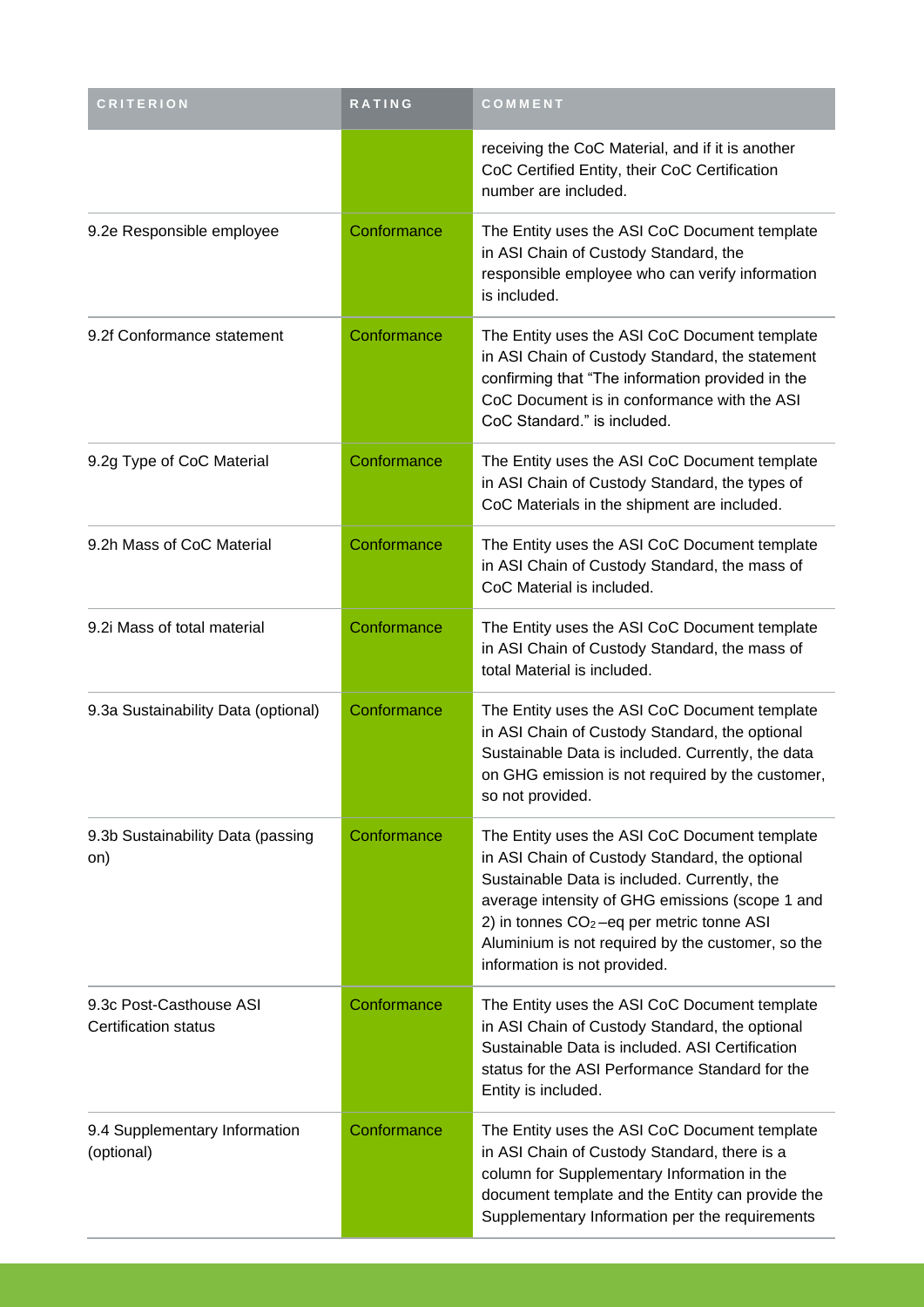| <b>CRITERION</b>                                | RATING      | COMMENT                                                                                                                                                                                                                                                                                                                                |
|-------------------------------------------------|-------------|----------------------------------------------------------------------------------------------------------------------------------------------------------------------------------------------------------------------------------------------------------------------------------------------------------------------------------------|
|                                                 |             | receiving the CoC Material, and if it is another<br>CoC Certified Entity, their CoC Certification<br>number are included.                                                                                                                                                                                                              |
| 9.2e Responsible employee                       | Conformance | The Entity uses the ASI CoC Document template<br>in ASI Chain of Custody Standard, the<br>responsible employee who can verify information<br>is included.                                                                                                                                                                              |
| 9.2f Conformance statement                      | Conformance | The Entity uses the ASI CoC Document template<br>in ASI Chain of Custody Standard, the statement<br>confirming that "The information provided in the<br>CoC Document is in conformance with the ASI<br>CoC Standard." is included.                                                                                                     |
| 9.2g Type of CoC Material                       | Conformance | The Entity uses the ASI CoC Document template<br>in ASI Chain of Custody Standard, the types of<br>CoC Materials in the shipment are included.                                                                                                                                                                                         |
| 9.2h Mass of CoC Material                       | Conformance | The Entity uses the ASI CoC Document template<br>in ASI Chain of Custody Standard, the mass of<br>CoC Material is included.                                                                                                                                                                                                            |
| 9.2i Mass of total material                     | Conformance | The Entity uses the ASI CoC Document template<br>in ASI Chain of Custody Standard, the mass of<br>total Material is included.                                                                                                                                                                                                          |
| 9.3a Sustainability Data (optional)             | Conformance | The Entity uses the ASI CoC Document template<br>in ASI Chain of Custody Standard, the optional<br>Sustainable Data is included. Currently, the data<br>on GHG emission is not required by the customer,<br>so not provided.                                                                                                           |
| 9.3b Sustainability Data (passing<br>on)        | Conformance | The Entity uses the ASI CoC Document template<br>in ASI Chain of Custody Standard, the optional<br>Sustainable Data is included. Currently, the<br>average intensity of GHG emissions (scope 1 and<br>2) in tonnes $CO2 -eq$ per metric tonne ASI<br>Aluminium is not required by the customer, so the<br>information is not provided. |
| 9.3c Post-Casthouse ASI<br>Certification status | Conformance | The Entity uses the ASI CoC Document template<br>in ASI Chain of Custody Standard, the optional<br>Sustainable Data is included. ASI Certification<br>status for the ASI Performance Standard for the<br>Entity is included.                                                                                                           |
| 9.4 Supplementary Information<br>(optional)     | Conformance | The Entity uses the ASI CoC Document template<br>in ASI Chain of Custody Standard, there is a<br>column for Supplementary Information in the<br>document template and the Entity can provide the<br>Supplementary Information per the requirements                                                                                     |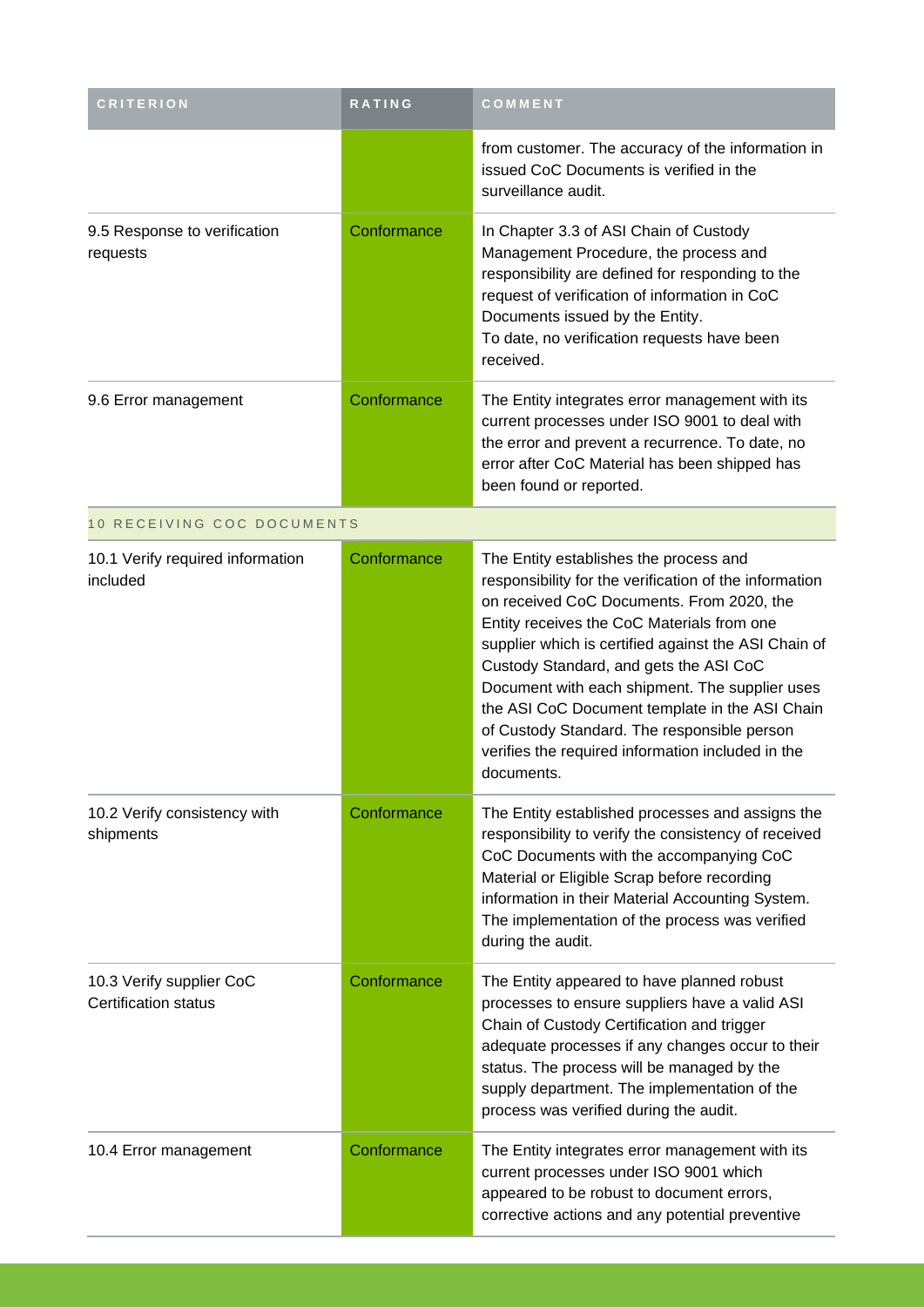| <b>CRITERION</b>                                        | <b>RATING</b> | COMMENT                                                                                                                                                                                                                                                                                                                                                                                                                                                                                                             |
|---------------------------------------------------------|---------------|---------------------------------------------------------------------------------------------------------------------------------------------------------------------------------------------------------------------------------------------------------------------------------------------------------------------------------------------------------------------------------------------------------------------------------------------------------------------------------------------------------------------|
|                                                         |               | from customer. The accuracy of the information in<br>issued CoC Documents is verified in the<br>surveillance audit.                                                                                                                                                                                                                                                                                                                                                                                                 |
| 9.5 Response to verification<br>requests                | Conformance   | In Chapter 3.3 of ASI Chain of Custody<br>Management Procedure, the process and<br>responsibility are defined for responding to the<br>request of verification of information in CoC<br>Documents issued by the Entity.<br>To date, no verification requests have been<br>received.                                                                                                                                                                                                                                 |
| 9.6 Error management                                    | Conformance   | The Entity integrates error management with its<br>current processes under ISO 9001 to deal with<br>the error and prevent a recurrence. To date, no<br>error after CoC Material has been shipped has<br>been found or reported.                                                                                                                                                                                                                                                                                     |
| 10 RECEIVING COC DOCUMENTS                              |               |                                                                                                                                                                                                                                                                                                                                                                                                                                                                                                                     |
| 10.1 Verify required information<br>included            | Conformance   | The Entity establishes the process and<br>responsibility for the verification of the information<br>on received CoC Documents. From 2020, the<br>Entity receives the CoC Materials from one<br>supplier which is certified against the ASI Chain of<br>Custody Standard, and gets the ASI CoC<br>Document with each shipment. The supplier uses<br>the ASI CoC Document template in the ASI Chain<br>of Custody Standard. The responsible person<br>verifies the required information included in the<br>documents. |
| 10.2 Verify consistency with<br>shipments               | Conformance   | The Entity established processes and assigns the<br>responsibility to verify the consistency of received<br>CoC Documents with the accompanying CoC<br>Material or Eligible Scrap before recording<br>information in their Material Accounting System.<br>The implementation of the process was verified<br>during the audit.                                                                                                                                                                                       |
| 10.3 Verify supplier CoC<br><b>Certification status</b> | Conformance   | The Entity appeared to have planned robust<br>processes to ensure suppliers have a valid ASI<br>Chain of Custody Certification and trigger<br>adequate processes if any changes occur to their<br>status. The process will be managed by the<br>supply department. The implementation of the<br>process was verified during the audit.                                                                                                                                                                              |
| 10.4 Error management                                   | Conformance   | The Entity integrates error management with its<br>current processes under ISO 9001 which<br>appeared to be robust to document errors,<br>corrective actions and any potential preventive                                                                                                                                                                                                                                                                                                                           |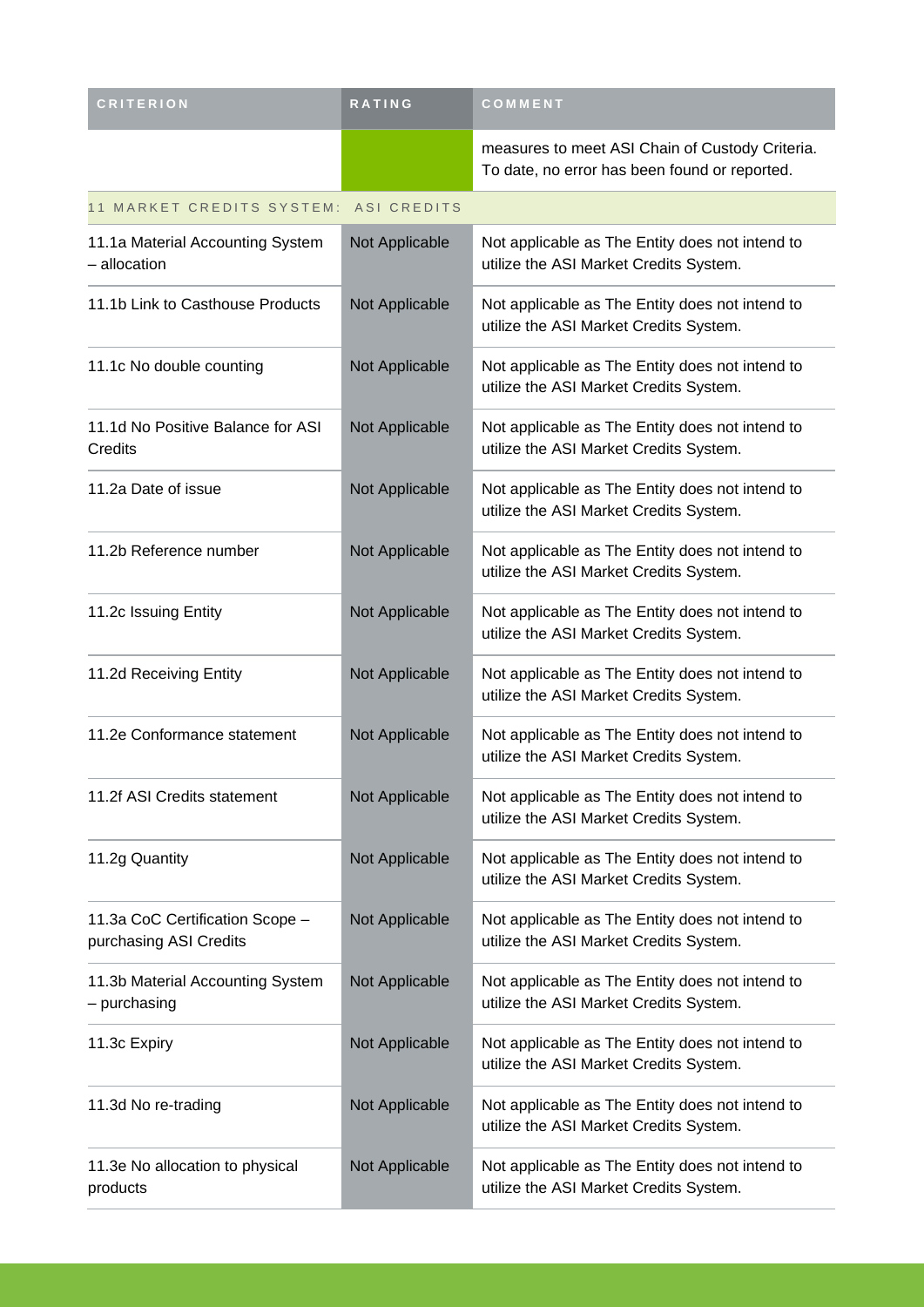| <b>CRITERION</b>                                          | <b>RATING</b>  | COMMENT                                                                                          |  |  |  |
|-----------------------------------------------------------|----------------|--------------------------------------------------------------------------------------------------|--|--|--|
|                                                           |                | measures to meet ASI Chain of Custody Criteria.<br>To date, no error has been found or reported. |  |  |  |
| 11 MARKET CREDITS SYSTEM:<br>ASI CREDITS                  |                |                                                                                                  |  |  |  |
| 11.1a Material Accounting System<br>- allocation          | Not Applicable | Not applicable as The Entity does not intend to<br>utilize the ASI Market Credits System.        |  |  |  |
| 11.1b Link to Casthouse Products                          | Not Applicable | Not applicable as The Entity does not intend to<br>utilize the ASI Market Credits System.        |  |  |  |
| 11.1c No double counting                                  | Not Applicable | Not applicable as The Entity does not intend to<br>utilize the ASI Market Credits System.        |  |  |  |
| 11.1d No Positive Balance for ASI<br>Credits              | Not Applicable | Not applicable as The Entity does not intend to<br>utilize the ASI Market Credits System.        |  |  |  |
| 11.2a Date of issue                                       | Not Applicable | Not applicable as The Entity does not intend to<br>utilize the ASI Market Credits System.        |  |  |  |
| 11.2b Reference number                                    | Not Applicable | Not applicable as The Entity does not intend to<br>utilize the ASI Market Credits System.        |  |  |  |
| 11.2c Issuing Entity                                      | Not Applicable | Not applicable as The Entity does not intend to<br>utilize the ASI Market Credits System.        |  |  |  |
| 11.2d Receiving Entity                                    | Not Applicable | Not applicable as The Entity does not intend to<br>utilize the ASI Market Credits System.        |  |  |  |
| 11.2e Conformance statement                               | Not Applicable | Not applicable as The Entity does not intend to<br>utilize the ASI Market Credits System.        |  |  |  |
| 11.2f ASI Credits statement                               | Not Applicable | Not applicable as The Entity does not intend to<br>utilize the ASI Market Credits System.        |  |  |  |
| 11.2g Quantity                                            | Not Applicable | Not applicable as The Entity does not intend to<br>utilize the ASI Market Credits System.        |  |  |  |
| 11.3a CoC Certification Scope -<br>purchasing ASI Credits | Not Applicable | Not applicable as The Entity does not intend to<br>utilize the ASI Market Credits System.        |  |  |  |
| 11.3b Material Accounting System<br>- purchasing          | Not Applicable | Not applicable as The Entity does not intend to<br>utilize the ASI Market Credits System.        |  |  |  |
| 11.3c Expiry                                              | Not Applicable | Not applicable as The Entity does not intend to<br>utilize the ASI Market Credits System.        |  |  |  |
| 11.3d No re-trading                                       | Not Applicable | Not applicable as The Entity does not intend to<br>utilize the ASI Market Credits System.        |  |  |  |
| 11.3e No allocation to physical<br>products               | Not Applicable | Not applicable as The Entity does not intend to<br>utilize the ASI Market Credits System.        |  |  |  |